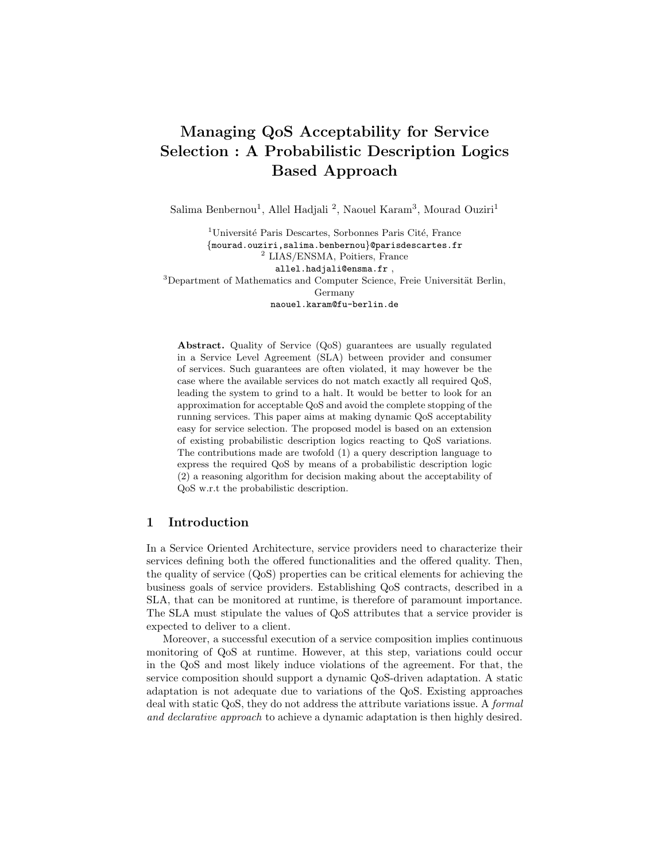# Managing QoS Acceptability for Service Selection : A Probabilistic Description Logics Based Approach

Salima Benbernou<sup>1</sup>, Allel Hadjali<sup>2</sup>, Naouel Karam<sup>3</sup>, Mourad Ouziri<sup>1</sup>

<sup>1</sup>Université Paris Descartes, Sorbonnes Paris Cité, France {mourad.ouziri,salima.benbernou}@parisdescartes.fr <sup>2</sup> LIAS/ENSMA, Poitiers, France allel.hadjali@ensma.fr ,  $3$ Department of Mathematics and Computer Science, Freie Universität Berlin, Germany naouel.karam@fu-berlin.de

Abstract. Quality of Service (QoS) guarantees are usually regulated in a Service Level Agreement (SLA) between provider and consumer of services. Such guarantees are often violated, it may however be the case where the available services do not match exactly all required QoS, leading the system to grind to a halt. It would be better to look for an approximation for acceptable QoS and avoid the complete stopping of the running services. This paper aims at making dynamic QoS acceptability easy for service selection. The proposed model is based on an extension of existing probabilistic description logics reacting to QoS variations. The contributions made are twofold (1) a query description language to express the required QoS by means of a probabilistic description logic (2) a reasoning algorithm for decision making about the acceptability of QoS w.r.t the probabilistic description.

### 1 Introduction

In a Service Oriented Architecture, service providers need to characterize their services defining both the offered functionalities and the offered quality. Then, the quality of service (QoS) properties can be critical elements for achieving the business goals of service providers. Establishing QoS contracts, described in a SLA, that can be monitored at runtime, is therefore of paramount importance. The SLA must stipulate the values of QoS attributes that a service provider is expected to deliver to a client.

Moreover, a successful execution of a service composition implies continuous monitoring of QoS at runtime. However, at this step, variations could occur in the QoS and most likely induce violations of the agreement. For that, the service composition should support a dynamic QoS-driven adaptation. A static adaptation is not adequate due to variations of the QoS. Existing approaches deal with static QoS, they do not address the attribute variations issue. A formal and declarative approach to achieve a dynamic adaptation is then highly desired.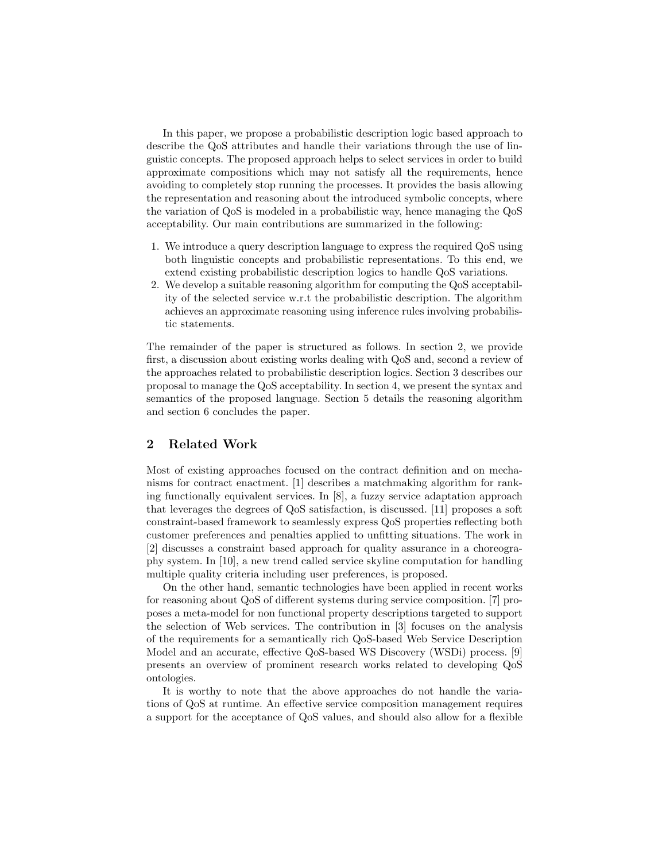In this paper, we propose a probabilistic description logic based approach to describe the QoS attributes and handle their variations through the use of linguistic concepts. The proposed approach helps to select services in order to build approximate compositions which may not satisfy all the requirements, hence avoiding to completely stop running the processes. It provides the basis allowing the representation and reasoning about the introduced symbolic concepts, where the variation of QoS is modeled in a probabilistic way, hence managing the QoS acceptability. Our main contributions are summarized in the following:

- 1. We introduce a query description language to express the required QoS using both linguistic concepts and probabilistic representations. To this end, we extend existing probabilistic description logics to handle QoS variations.
- 2. We develop a suitable reasoning algorithm for computing the QoS acceptability of the selected service w.r.t the probabilistic description. The algorithm achieves an approximate reasoning using inference rules involving probabilistic statements.

The remainder of the paper is structured as follows. In section 2, we provide first, a discussion about existing works dealing with QoS and, second a review of the approaches related to probabilistic description logics. Section 3 describes our proposal to manage the QoS acceptability. In section 4, we present the syntax and semantics of the proposed language. Section 5 details the reasoning algorithm and section 6 concludes the paper.

# 2 Related Work

Most of existing approaches focused on the contract definition and on mechanisms for contract enactment. [1] describes a matchmaking algorithm for ranking functionally equivalent services. In [8], a fuzzy service adaptation approach that leverages the degrees of QoS satisfaction, is discussed. [11] proposes a soft constraint-based framework to seamlessly express QoS properties reflecting both customer preferences and penalties applied to unfitting situations. The work in [2] discusses a constraint based approach for quality assurance in a choreography system. In [10], a new trend called service skyline computation for handling multiple quality criteria including user preferences, is proposed.

On the other hand, semantic technologies have been applied in recent works for reasoning about QoS of different systems during service composition. [7] proposes a meta-model for non functional property descriptions targeted to support the selection of Web services. The contribution in [3] focuses on the analysis of the requirements for a semantically rich QoS-based Web Service Description Model and an accurate, effective QoS-based WS Discovery (WSDi) process. [9] presents an overview of prominent research works related to developing QoS ontologies.

It is worthy to note that the above approaches do not handle the variations of QoS at runtime. An effective service composition management requires a support for the acceptance of QoS values, and should also allow for a flexible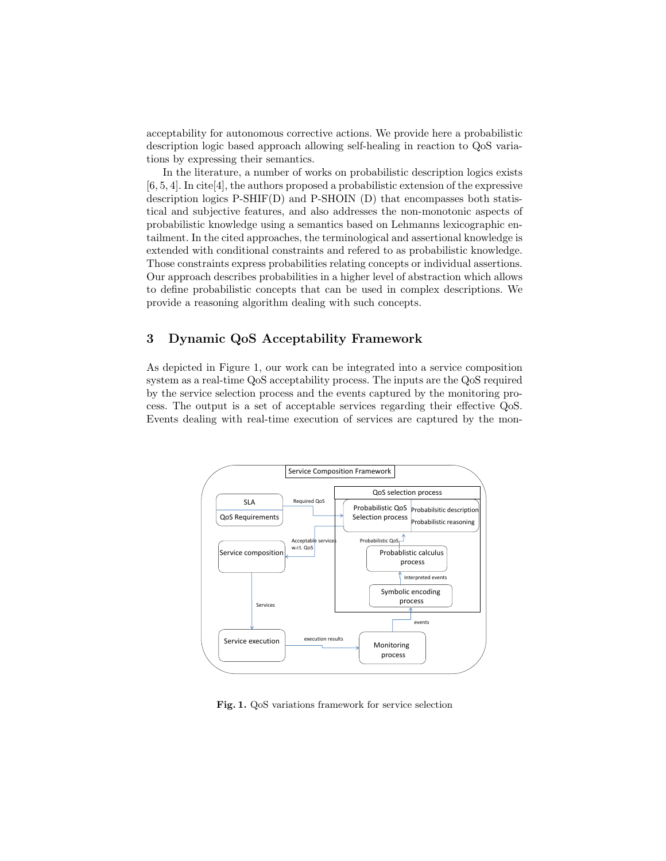acceptability for autonomous corrective actions. We provide here a probabilistic description logic based approach allowing self-healing in reaction to QoS variations by expressing their semantics.

In the literature, a number of works on probabilistic description logics exists [6, 5, 4]. In cite[4], the authors proposed a probabilistic extension of the expressive description logics P-SHIF(D) and P-SHOIN (D) that encompasses both statistical and subjective features, and also addresses the non-monotonic aspects of probabilistic knowledge using a semantics based on Lehmanns lexicographic entailment. In the cited approaches, the terminological and assertional knowledge is extended with conditional constraints and refered to as probabilistic knowledge. Those constraints express probabilities relating concepts or individual assertions. Our approach describes probabilities in a higher level of abstraction which allows to define probabilistic concepts that can be used in complex descriptions. We provide a reasoning algorithm dealing with such concepts.

# 3 Dynamic QoS Acceptability Framework

As depicted in Figure 1, our work can be integrated into a service composition system as a real-time QoS acceptability process. The inputs are the QoS required by the service selection process and the events captured by the monitoring process. The output is a set of acceptable services regarding their effective QoS. Events dealing with real-time execution of services are captured by the mon-



Fig. 1. QoS variations framework for service selection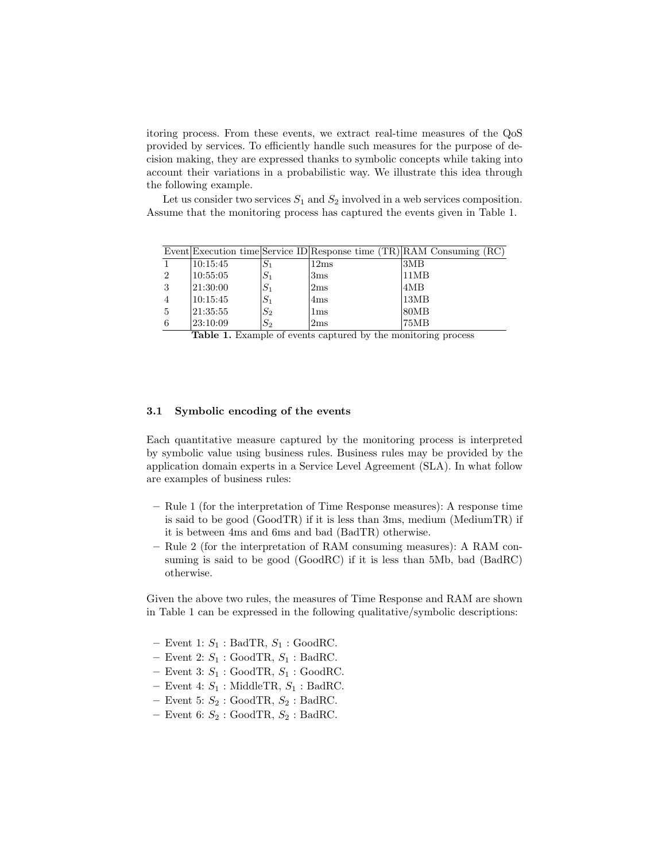itoring process. From these events, we extract real-time measures of the QoS provided by services. To efficiently handle such measures for the purpose of decision making, they are expressed thanks to symbolic concepts while taking into account their variations in a probabilistic way. We illustrate this idea through the following example.

Let us consider two services  $S_1$  and  $S_2$  involved in a web services composition. Assume that the monitoring process has captured the events given in Table 1.

|                |           |       |                 | Event Execution time Service ID Response time $(TR)$ RAM Consuming $(RC)$ |
|----------------|-----------|-------|-----------------|---------------------------------------------------------------------------|
|                | 10:15:45  | $S_1$ | 12ms            | 3MB                                                                       |
| $\overline{2}$ | 10:55:05  | $S_1$ | 3 <sub>ms</sub> | 11MB                                                                      |
| 3              | 21:30:00  | $S_1$ | 2ms             | 4MB                                                                       |
|                | 10:15:45  | $S_1$ | 4ms             | 13MB                                                                      |
| $\overline{5}$ | 21:35:55  | $S_2$ | $1\mathrm{ms}$  | 80MB                                                                      |
|                | 123:10:09 | $S_2$ | 2ms             | 75MB                                                                      |

|  |  |  |  |  |  | Table 1. Example of events captured by the monitoring process |  |
|--|--|--|--|--|--|---------------------------------------------------------------|--|
|--|--|--|--|--|--|---------------------------------------------------------------|--|

#### 3.1 Symbolic encoding of the events

Each quantitative measure captured by the monitoring process is interpreted by symbolic value using business rules. Business rules may be provided by the application domain experts in a Service Level Agreement (SLA). In what follow are examples of business rules:

- Rule 1 (for the interpretation of Time Response measures): A response time is said to be good (GoodTR) if it is less than 3ms, medium (MediumTR) if it is between 4ms and 6ms and bad (BadTR) otherwise.
- Rule 2 (for the interpretation of RAM consuming measures): A RAM consuming is said to be good (GoodRC) if it is less than 5Mb, bad (BadRC) otherwise.

Given the above two rules, the measures of Time Response and RAM are shown in Table 1 can be expressed in the following qualitative/symbolic descriptions:

- Event 1:  $S_1$ : BadTR,  $S_1$ : GoodRC.
- Event 2:  $S_1$ : GoodTR,  $S_1$ : BadRC.
- Event 3:  $S_1$ : GoodTR,  $S_1$ : GoodRC.
- Event 4:  $S_1$ : MiddleTR,  $S_1$ : BadRC.
- Event 5:  $S_2$ : GoodTR,  $S_2$ : BadRC.
- Event 6:  $S_2$ : GoodTR,  $S_2$ : BadRC.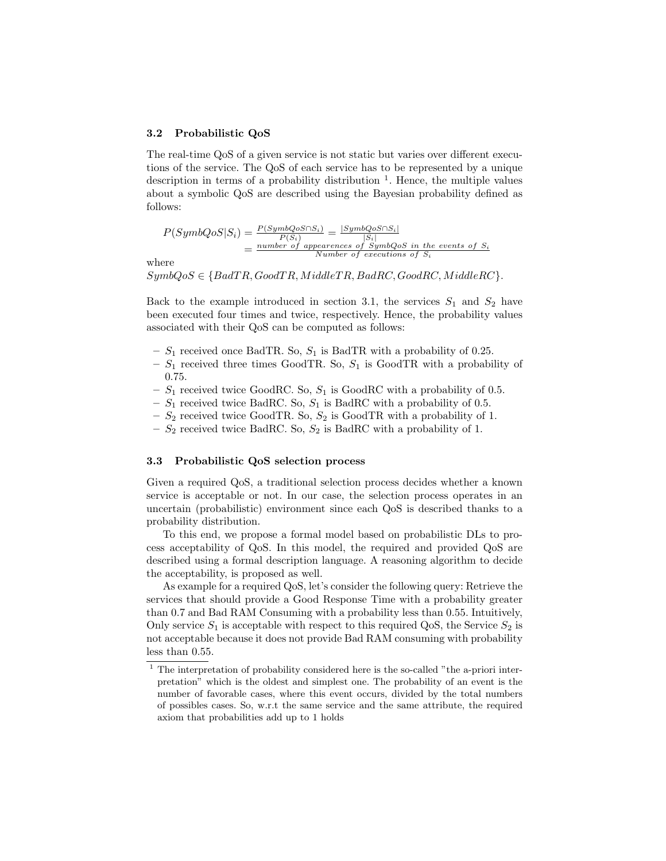#### 3.2 Probabilistic QoS

The real-time QoS of a given service is not static but varies over different executions of the service. The QoS of each service has to be represented by a unique description in terms of a probability distribution  $\frac{1}{1}$ . Hence, the multiple values about a symbolic QoS are described using the Bayesian probability defined as follows:

$$
P(SymbQoS|S_i) = \frac{P(SymbQoS \cap S_i)}{P(S_i)} = \frac{|SymbQoS \cap S_i|}{|S_i|}
$$
  
= 
$$
\frac{number\ of\ appearances\ of\ SymbQoS\ in\ the\ events\ of\ S_i}{Number\ of\ executions\ of\ S_i}
$$

where

 $SymbolQoS \in {BadTR, GoodTR, MiddleTR, BadRC, GoodRC, MiddleRC}.$ 

Back to the example introduced in section 3.1, the services  $S_1$  and  $S_2$  have been executed four times and twice, respectively. Hence, the probability values associated with their QoS can be computed as follows:

- $S_1$  received once BadTR. So,  $S_1$  is BadTR with a probability of 0.25.
- $S_1$  received three times GoodTR. So,  $S_1$  is GoodTR with a probability of 0.75.
- $S_1$  received twice GoodRC. So,  $S_1$  is GoodRC with a probability of 0.5.
- $S_1$  received twice BadRC. So,  $S_1$  is BadRC with a probability of 0.5.
- $S_2$  received twice GoodTR. So,  $S_2$  is GoodTR with a probability of 1.
- $S_2$  received twice BadRC. So,  $S_2$  is BadRC with a probability of 1.

#### 3.3 Probabilistic QoS selection process

Given a required QoS, a traditional selection process decides whether a known service is acceptable or not. In our case, the selection process operates in an uncertain (probabilistic) environment since each QoS is described thanks to a probability distribution.

To this end, we propose a formal model based on probabilistic DLs to process acceptability of QoS. In this model, the required and provided QoS are described using a formal description language. A reasoning algorithm to decide the acceptability, is proposed as well.

As example for a required QoS, let's consider the following query: Retrieve the services that should provide a Good Response Time with a probability greater than 0.7 and Bad RAM Consuming with a probability less than 0.55. Intuitively, Only service  $S_1$  is acceptable with respect to this required QoS, the Service  $S_2$  is not acceptable because it does not provide Bad RAM consuming with probability less than 0.55.

 $1$  The interpretation of probability considered here is the so-called "the a-priori interpretation" which is the oldest and simplest one. The probability of an event is the number of favorable cases, where this event occurs, divided by the total numbers of possibles cases. So, w.r.t the same service and the same attribute, the required axiom that probabilities add up to 1 holds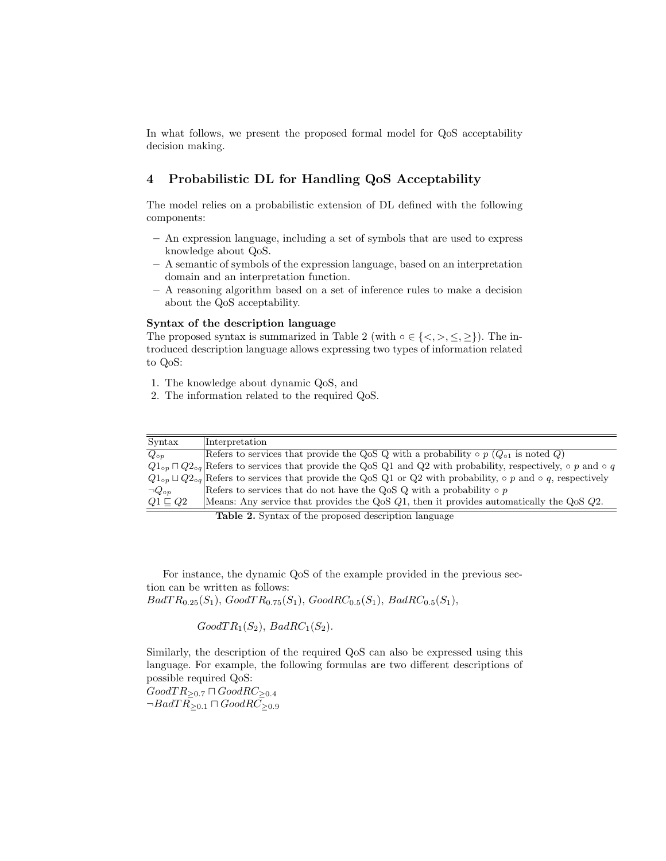In what follows, we present the proposed formal model for QoS acceptability decision making.

# 4 Probabilistic DL for Handling QoS Acceptability

The model relies on a probabilistic extension of DL defined with the following components:

- An expression language, including a set of symbols that are used to express knowledge about QoS.
- A semantic of symbols of the expression language, based on an interpretation domain and an interpretation function.
- A reasoning algorithm based on a set of inference rules to make a decision about the QoS acceptability.

#### Syntax of the description language

The proposed syntax is summarized in Table 2 (with  $\circ \in \{ \langle \rangle, \rangle, \leq \rangle$ ). The introduced description language allows expressing two types of information related to QoS:

- 1. The knowledge about dynamic QoS, and
- 2. The information related to the required QoS.

| Syntax             | Interpretation                                                                                                                       |
|--------------------|--------------------------------------------------------------------------------------------------------------------------------------|
| $Q_{\circ p}$      | Refers to services that provide the QoS Q with a probability $\circ$ p ( $Q_{\circ 1}$ is noted Q)                                   |
|                    | $Q_1_{op} \sqcap Q_2_{og}$ Refers to services that provide the QoS Q1 and Q2 with probability, respectively, $\circ$ p and $\circ$ q |
|                    | $Q_1_{op} \sqcup Q_2_{og}$ Refers to services that provide the QoS Q1 or Q2 with probability, $\circ$ p and $\circ$ q, respectively  |
| $\neg Q_{\circ p}$ | Refers to services that do not have the QoS Q with a probability $\circ$ p                                                           |
| $Q1 \sqsubset Q2$  | Means: Any service that provides the QoS $Q_1$ , then it provides automatically the QoS $Q_2$ .                                      |

Table 2. Syntax of the proposed description language

For instance, the dynamic QoS of the example provided in the previous section can be written as follows:  $BadTR_{0.25}(S_1), GoodTR_{0.75}(S_1), GoodRC_{0.5}(S_1), BadRC_{0.5}(S_1),$ 

 $GoodTR<sub>1</sub>(S<sub>2</sub>), BadRC<sub>1</sub>(S<sub>2</sub>).$ 

Similarly, the description of the required QoS can also be expressed using this language. For example, the following formulas are two different descriptions of possible required QoS:

 $Good TR_{\geq 0.7} \sqcap GoodRC_{\geq 0.4}$  $\neg BadTR_{\geq 0.1} \sqcap GoodRC_{\geq 0.9}$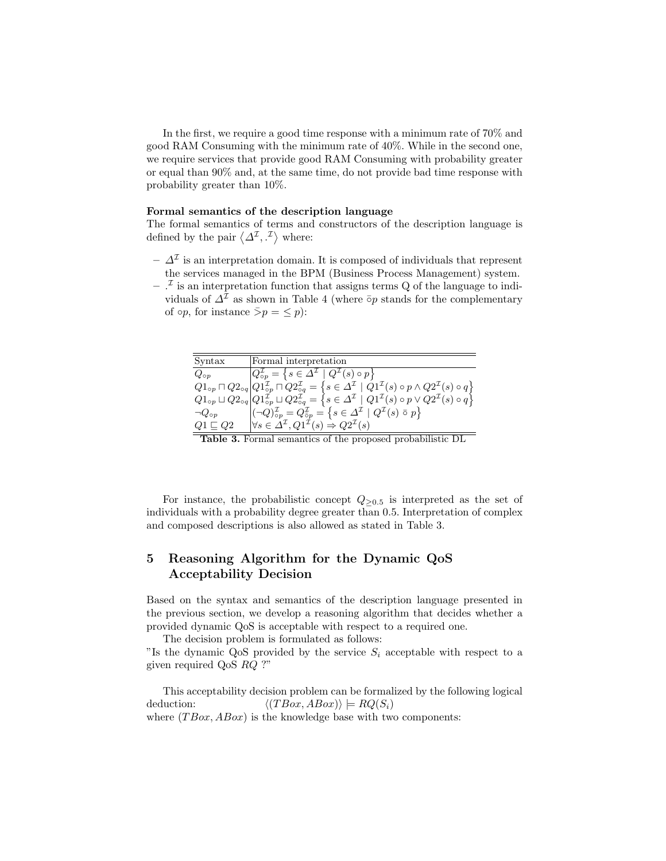In the first, we require a good time response with a minimum rate of 70% and good RAM Consuming with the minimum rate of 40%. While in the second one, we require services that provide good RAM Consuming with probability greater or equal than 90% and, at the same time, do not provide bad time response with probability greater than 10%.

#### Formal semantics of the description language

The formal semantics of terms and constructors of the description language is defined by the pair  $\langle \Delta^{\mathcal{I}}, \cdot^{\mathcal{I}} \rangle$  where:

- $\Delta^{\mathcal{I}}$  is an interpretation domain. It is composed of individuals that represent the services managed in the BPM (Business Process Management) system.
- $-$ .<sup> $I$ </sup> is an interpretation function that assigns terms Q of the language to individuals of  $\Delta^{\mathcal{I}}$  as shown in Table 4 (where  $\bar{\circ}$ <sub>*p*</sub> stands for the complementary of  $\circ p$ , for instance  $\bar{p} = \leq p$ :

| Syntax             | Formal interpretation                                                                                                                                                                                                                |
|--------------------|--------------------------------------------------------------------------------------------------------------------------------------------------------------------------------------------------------------------------------------|
| $Q_{\circ p}$      | $Q_{\circ p}^{\mathcal{I}} = \left\{ s \in \Delta^{\mathcal{I}} \mid Q^{\mathcal{I}}(s) \circ p \right\}$                                                                                                                            |
|                    | $Q1_{\text{op}} \sqcap Q2_{\text{op}}  Q1_{\text{op}}^{\mathcal{I}} \sqcap Q2_{\text{op}}^{\mathcal{I}} = \left\{ s \in \Delta^{\mathcal{I}} \mid \dot{Q}1^{\mathcal{I}}(s) \circ p \wedge Q2^{\mathcal{I}}(s) \circ q \right\}$     |
|                    | $Q1_{\text{op}} \sqcup Q2_{\text{op}} \vert Q1_{\text{op}}^{\mathcal{I}} \sqcup Q2_{\text{op}}^{\mathcal{I}} = \left\{s \in \varDelta^{\mathcal{I}} \ \vert \ Q1^{\mathcal{I}}(s) \circ p \vee Q2^{\mathcal{I}}(s) \circ q \right\}$ |
| $\neg Q_{\circ p}$ | $\left  (\neg Q)^{\mathcal{I}}_{op} = Q^{\mathcal{I}}_{op} = \left\{ s \in \Delta^{\mathcal{I}} \mid Q^{\mathcal{I}}(s) \circ p \right\} \right $                                                                                    |
| $Q1 \sqsubset Q2$  | $\forall s \in \Delta^{\mathcal{I}}, Q1^{\mathcal{I}}(s) \Rightarrow Q2^{\mathcal{I}}(s)$                                                                                                                                            |

Table 3. Formal semantics of the proposed probabilistic DL

For instance, the probabilistic concept  $Q_{\geq 0.5}$  is interpreted as the set of individuals with a probability degree greater than 0.5. Interpretation of complex and composed descriptions is also allowed as stated in Table 3.

# 5 Reasoning Algorithm for the Dynamic QoS Acceptability Decision

Based on the syntax and semantics of the description language presented in the previous section, we develop a reasoning algorithm that decides whether a provided dynamic QoS is acceptable with respect to a required one.

The decision problem is formulated as follows:

"Is the dynamic QoS provided by the service  $S_i$  acceptable with respect to a given required QoS RQ ?"

This acceptability decision problem can be formalized by the following logical deduction:  $\langle (TBox, ABox) \rangle \models RQ(S_i)$ where  $(TBox, ABox)$  is the knowledge base with two components: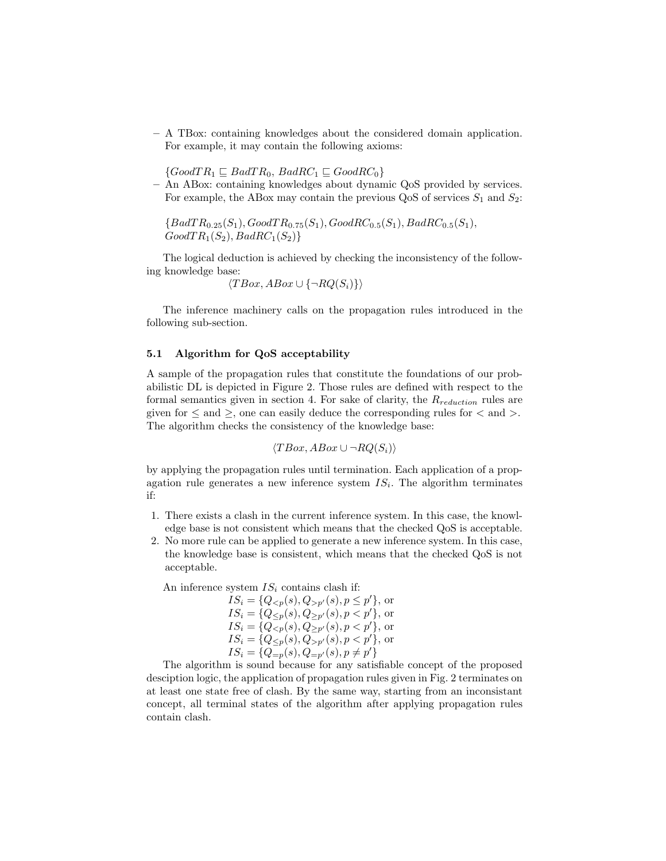– A TBox: containing knowledges about the considered domain application. For example, it may contain the following axioms:

 $\{GoodTR_1 \sqsubseteq BadTR_0, BadRC_1 \sqsubseteq GoodRC_0\}$ 

– An ABox: containing knowledges about dynamic QoS provided by services. For example, the ABox may contain the previous QoS of services  $S_1$  and  $S_2$ :

 ${BadTR_{0.25}(S_1), GoodTR_{0.75}(S_1), GoodRC_{0.5}(S_1), BadRC_{0.5}(S_1),}$  $GoodTR<sub>1</sub>(S<sub>2</sub>), BadRC<sub>1</sub>(S<sub>2</sub>)\}$ 

The logical deduction is achieved by checking the inconsistency of the following knowledge base:

$$
\langle TBox, ABox \cup \{\neg RQ(S_i)\}\rangle
$$

The inference machinery calls on the propagation rules introduced in the following sub-section.

#### 5.1 Algorithm for QoS acceptability

A sample of the propagation rules that constitute the foundations of our probabilistic DL is depicted in Figure 2. Those rules are defined with respect to the formal semantics given in section 4. For sake of clarity, the  $R_{reduction}$  rules are given for  $\leq$  and  $\geq$ , one can easily deduce the corresponding rules for  $\lt$  and  $\gt$ . The algorithm checks the consistency of the knowledge base:

$$
\langle TBox, ABox \cup \neg RQ(S_i) \rangle
$$

by applying the propagation rules until termination. Each application of a propagation rule generates a new inference system  $IS_i$ . The algorithm terminates if:

- 1. There exists a clash in the current inference system. In this case, the knowledge base is not consistent which means that the checked QoS is acceptable.
- 2. No more rule can be applied to generate a new inference system. In this case, the knowledge base is consistent, which means that the checked QoS is not acceptable.

An inference system  $IS_i$  contains clash if:

 $IS_i = \{Q_{\leq p}(s), Q_{>p'}(s), p \leq p'\},\,$  or  $IS_i = \{Q_{\leq p}(s), Q_{\geq p'}(s), p < p'\},$  or  $IS_i = \{Q_{\leq p}(s), Q_{\geq p'}(s), p < p'\},$  or  $IS_i = \{Q_{\leq p}(s), Q_{>p'}(s), p < p'\},$  or  $IS_i = \{Q_{=p}(s), Q_{=p'}(s), p \neq p'\}\$ 

The algorithm is sound because for any satisfiable concept of the proposed desciption logic, the application of propagation rules given in Fig. 2 terminates on at least one state free of clash. By the same way, starting from an inconsistant concept, all terminal states of the algorithm after applying propagation rules contain clash.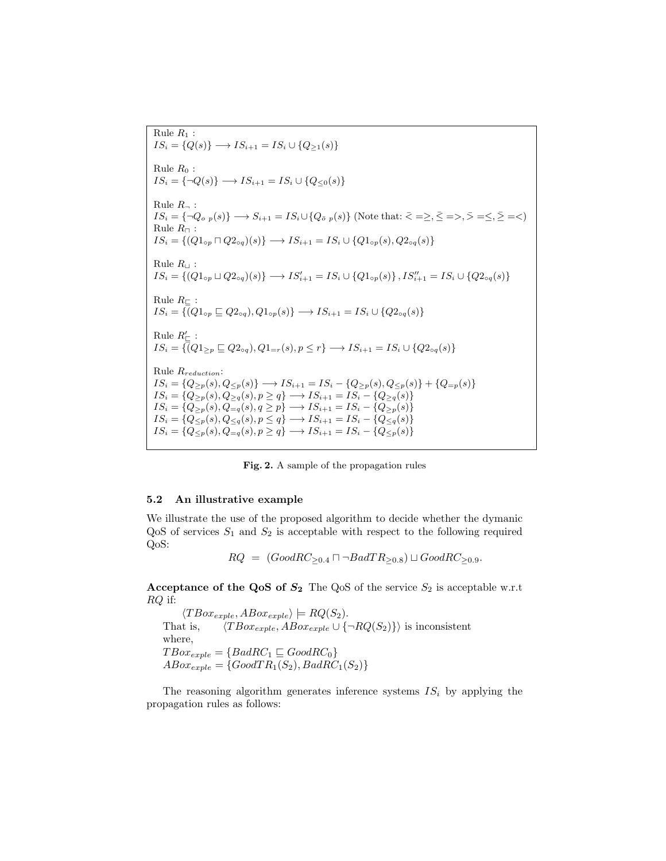Rule  $R_1$ :  $IS_i = \{Q(s)\} \longrightarrow IS_{i+1} = IS_i \cup \{Q_{\geq 1}(s)\}\$ Rule  $R_0$ :  $IS_i = {\neg Q(s)} \longrightarrow IS_{i+1} = IS_i \cup {\{Q_{\leq 0}(s)\}}$ Rule  $R_{\neg}$ :  $IS_i = \{\neg Q_{o,p}(s)\} \longrightarrow S_{i+1} = IS_i \cup \{Q_{\bar{o},p}(s)\}$  (Note that:  $\bar{\langle} = \geq, \bar{\leq} = \geq, \bar{\geq} = \leq, \bar{\geq} = \leq \rangle$ Rule  $R_{\Box}$ :  $IS_i = \{(Q1_{\text{op}} \sqcap Q2_{\text{op}})(s)\}\longrightarrow IS_{i+1} = IS_i \cup \{Q1_{\text{op}}(s), Q2_{\text{op}}(s)\}\$ Rule  $R_{\perp}$ :  $IS_i = \{(Q1_{\text{op}} \sqcup Q2_{\text{op}})(s)\} \longrightarrow IS'_{i+1} = IS_i \cup \{Q1_{\text{op}}(s)\}, IS''_{i+1} = IS_i \cup \{Q2_{\text{op}}(s)\}$ Rule  $R_{\square}$ :  $IS_i = \{ \overline{Q_1}_{\alpha p} \sqsubseteq Q_2_{\alpha q}, Q_1_{\alpha p}(s) \} \longrightarrow IS_{i+1} = IS_i \cup \{ Q_2_{\alpha q}(s) \}$ Rule  $R'_{\square}$ :  $IS_i = \{ (Q1_{>p} \sqsubseteq Q2_{\circ q}), Q1_{=r}(s), p \leq r \} \longrightarrow IS_{i+1} = IS_i \cup \{ Q2_{\circ q}(s) \}$ Rule Rreduction:  $IS_i = \{Q_{\geq p}(s), Q_{\leq p}(s)\} \longrightarrow IS_{i+1} = IS_i - \{Q_{\geq p}(s), Q_{\leq p}(s)\} + \{Q_{=p}(s)\}$  $IS_i = \{Q_{\geq p}(s), Q_{\geq q}(s), p \geq q\} \longrightarrow IS_{i+1} = IS_i - \{Q_{\geq q}(s)\}$  $IS_i = \{Q_{\geq p}(s), Q_{=q}(s), q \geq p\} \longrightarrow IS_{i+1} = IS_i - \{Q_{\geq p}(s)\}\$  $IS_i = \{Q_{\leq p}(s), Q_{\leq q}(s), p \leq q\} \longrightarrow IS_{i+1} = IS_i - \{Q_{\leq q}(s)\}$  $IS_i = \{Q_{\leq p}(s), Q_{=q}(s), p \geq q\} \longrightarrow IS_{i+1} = IS_i - \{Q_{\leq p}(s)\}\$ 

Fig. 2. A sample of the propagation rules

#### 5.2 An illustrative example

We illustrate the use of the proposed algorithm to decide whether the dymanic  $Q$ oS of services  $S_1$  and  $S_2$  is acceptable with respect to the following required QoS:

 $RQ = (Good RC_{\geq 0.4} \sqcap \neg BadTR_{\geq 0.8}) \sqcup GoodRC_{\geq 0.9}.$ 

Acceptance of the QoS of  $S_2$  The QoS of the service  $S_2$  is acceptable w.r.t RQ if:

 $\langle TBox_{exple}, ABox_{exple} \rangle \models RQ(S_2).$ That is,  $\langle TBo x_{exple}, ABo x_{exple} \cup {\neg RQ(S_2)}\rangle$  is inconsistent where,  $TBox_{exple} = \{BadRC_1 \sqsubseteq GoodRC_0\}$  $ABox_{exple} = \{GoodTR_1(S_2), BadRC_1(S_2)\}$ 

The reasoning algorithm generates inference systems  $IS_i$  by applying the propagation rules as follows: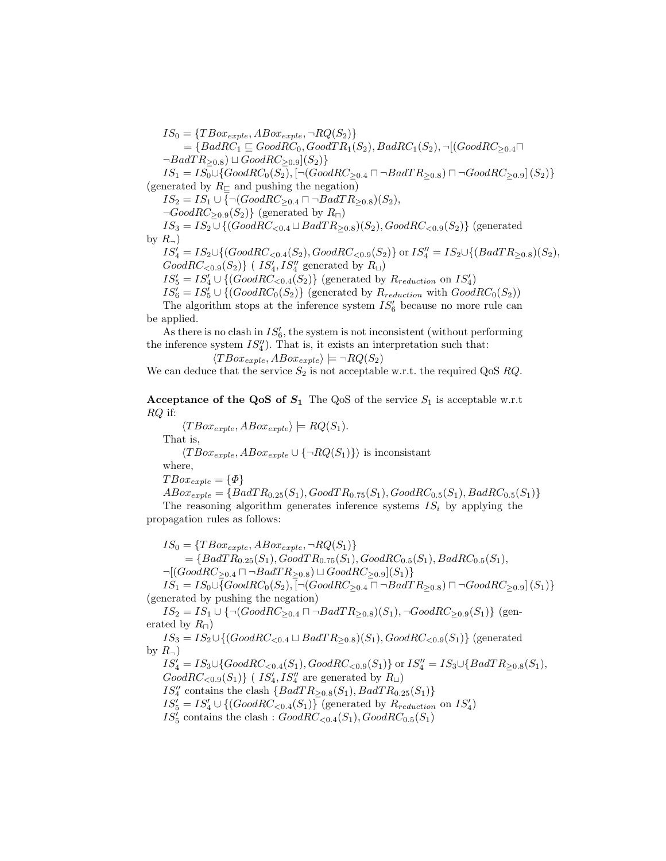$IS_0 = \{TBox_{exple}, ABox_{exple}, \neg RQ(S_2)\}$  $=\{BadRC_1 \sqsubseteq GoodRC_0, GoodTR_1(S_2), BadRC_1(S_2), \neg [(GoodRC_{>0.4} \sqcap$  $\neg BadTR_{\geq 0.8}) \sqcup GoodRC_{\geq 0.9}](S_2)$  $IS_1 = IS_0 \cup \{GoodRC_0(S_2), [\neg (GoodRC_{\geq 0.4} \sqcap \neg BadTR_{\geq 0.8}) \sqcap \neg GoodRC_{\geq 0.9}] (S_2)\}\$ (generated by  $R_{\square}$  and pushing the negation)  $IS_2 = IS_1 \cup \{ \neg (GoodRC_{\geq 0.4} \sqcap \neg BadTR_{\geq 0.8})(S_2),\}$  $\neg GoodRC_{\geq 0.9}(S_2)$  (generated by  $R_{\square}$ )  $IS_3 = IS_2 \cup \{ (Good RC_{< 0.4} \sqcup BadTR_{\geq 0.8})(S_2), GoodRC_{< 0.9}(S_2) \}$  (generated by  $R_{\neg}$ )  $IS'_{4} = IS_{2} \cup \{ (GoodRC_{< 0.4}(S_{2}), GoodRC_{< 0.9}(S_{2}) \}$  or  $IS''_{4} = IS_{2} \cup \{ (BadTR_{\geq 0.8})(S_{2}),$ 

 $Good RC_{<0.9}(S_2)$ } (  $IS'_4, IS''_4$  generated by  $R_{\sqcup}$ )

 $IS'_5 = IS'_4 \cup \{(GoodRC_{< 0.4}(S_2)\}$  (generated by  $R_{reduction}$  on  $IS'_4$ )

 $IS'_6 = IS'_5 \cup \{(GoodRC_0(S_2)\}$  (generated by  $R_{reduction}$  with  $GoodRC_0(S_2)$ )

The algorithm stops at the inference system  $IS'_{6}$  because no more rule can be applied.

As there is no clash in  $IS'_6$ , the system is not inconsistent (without performing the inference system  $IS''_4$ ). That is, it exists an interpretation such that:

$$
\langle TBox_{exple}, ABox_{exple} \rangle \models \neg RQ(S_2)
$$

We can deduce that the service  $S_2$  is not acceptable w.r.t. the required QoS RQ.

Acceptance of the QoS of  $S_1$  The QoS of the service  $S_1$  is acceptable w.r.t RQ if:

 $\langle TBox_{exple}, ABox_{exple} \rangle \models RQ(S_1).$ 

That is,

 $\langle TBox_{exnle}, ABox_{exnle} \cup {\neg RQ(S_1)}\rangle$  is inconsistant

where,

$$
TBox_{exple} = \{\Phi\}
$$

$$
ABox_{exple} = \{BadTR_{0.25}(S_1), GoodTR_{0.75}(S_1), GoodRC_{0.5}(S_1), BadRC_{0.5}(S_1) \}
$$
  
The reasoning algorithm generates inference systems  $IS_i$  by applying the

propagation rules as follows:

 $IS_0 = \{TBox_{exple}, ABox_{exple}, \neg RQ(S_1)\}$  $=\{BadTR_{0.25}(S_1), GoodTR_{0.75}(S_1), GoodRC_{0.5}(S_1), BadRC_{0.5}(S_1),\}$  $\neg[(GoodRC_{\geq 0.4} \sqcap \neg BadTR_{\geq 0.8}) \sqcup GoodRC_{\geq 0.9}](S_1)\}$ 

 $IS_1 = IS_0 \cup \{GoodRC_0(S_2), [\neg (GoodRC_{\geq 0.4} \sqcap \neg BadTR_{\geq 0.8}) \sqcap \neg GoodRC_{\geq 0.9}] (S_1)\}\$ (generated by pushing the negation)

 $IS_2 = IS_1 \cup {\neg(GoodRC_{\geq 0.4} \sqcap \neg BadTR_{\geq 0.8})(S_1), \neg GoodRC_{\geq 0.9}(S_1)}$  (generated by  $R_{\Box}$ )

 $IS_3 = IS_2 \cup \{ (GoodRC_{< 0.4} \sqcup BadTR_{> 0.8})(S_1), GoodRC_{< 0.9}(S_1) \}$  (generated by  $R_{\neg}$ )

 $IS'_{4} = IS_{3} \cup \{GoodRC_{<0.4}(S_{1}), GoodRC_{<0.9}(S_{1})\}$  or  $IS''_{4} = IS_{3} \cup \{BadTR_{\geq 0.8}(S_{1}),\}$  $Good RC_{<0.9}(S_1)$ } (  $IS'_4, IS''_4$  are generated by  $R_{\sqcup}$ )  $IS''_4$  contains the clash  ${BadTR_{\geq 0.8}(S_1), BadTR_{0.25}(S_1)}$  $IS'_{5} = IS'_{4} \cup \{(GoodRC_{< 0.4}(S_{1})\}$  (generated by  $R_{reduction}$  on  $IS'_{4}$ )  $IS'_{5}$  contains the clash :  $Good RC_{<0.4}(S_1), GoodRC_{0.5}(S_1)$